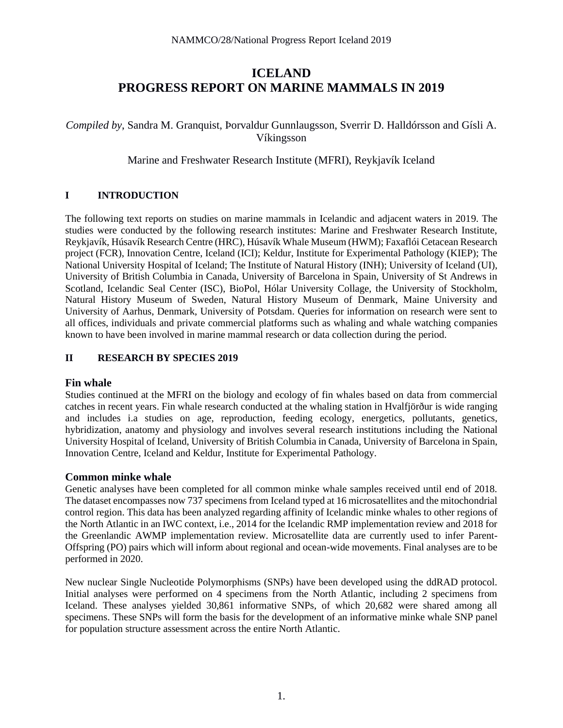# **ICELAND PROGRESS REPORT ON MARINE MAMMALS IN 2019**

*Compiled by*, Sandra M. Granquist, Þorvaldur Gunnlaugsson, Sverrir D. Halldórsson and Gísli A. Víkingsson

Marine and Freshwater Research Institute (MFRI), Reykjavík Iceland

# **I INTRODUCTION**

The following text reports on studies on marine mammals in Icelandic and adjacent waters in 2019. The studies were conducted by the following research institutes: Marine and Freshwater Research Institute, Reykjavík, Húsavík Research Centre (HRC), Húsavík Whale Museum (HWM); Faxaflói Cetacean Research project (FCR), Innovation Centre, Iceland (ICI); Keldur, Institute for Experimental Pathology (KIEP); The National University Hospital of Iceland; The Institute of Natural History (INH); University of Iceland (UI), University of British Columbia in Canada, University of Barcelona in Spain, University of St Andrews in Scotland, Icelandic Seal Center (ISC), BioPol, Hólar University Collage, the University of Stockholm, Natural History Museum of Sweden, Natural History Museum of Denmark, Maine University and University of Aarhus, Denmark, University of Potsdam. Queries for information on research were sent to all offices, individuals and private commercial platforms such as whaling and whale watching companies known to have been involved in marine mammal research or data collection during the period.

#### **II RESEARCH BY SPECIES 2019**

#### **Fin whale**

Studies continued at the MFRI on the biology and ecology of fin whales based on data from commercial catches in recent years. Fin whale research conducted at the whaling station in Hvalfjörður is wide ranging and includes i.a studies on age, reproduction, feeding ecology, energetics, pollutants, genetics, hybridization, anatomy and physiology and involves several research institutions including the National University Hospital of Iceland, University of British Columbia in Canada, University of Barcelona in Spain, Innovation Centre, Iceland and Keldur, Institute for Experimental Pathology.

### **Common minke whale**

Genetic analyses have been completed for all common minke whale samples received until end of 2018. The dataset encompasses now 737 specimens from Iceland typed at 16 microsatellites and the mitochondrial control region. This data has been analyzed regarding affinity of Icelandic minke whales to other regions of the North Atlantic in an IWC context, i.e., 2014 for the Icelandic RMP implementation review and 2018 for the Greenlandic AWMP implementation review. Microsatellite data are currently used to infer Parent-Offspring (PO) pairs which will inform about regional and ocean-wide movements. Final analyses are to be performed in 2020.

New nuclear Single Nucleotide Polymorphisms (SNPs) have been developed using the ddRAD protocol. Initial analyses were performed on 4 specimens from the North Atlantic, including 2 specimens from Iceland. These analyses yielded 30,861 informative SNPs, of which 20,682 were shared among all specimens. These SNPs will form the basis for the development of an informative minke whale SNP panel for population structure assessment across the entire North Atlantic.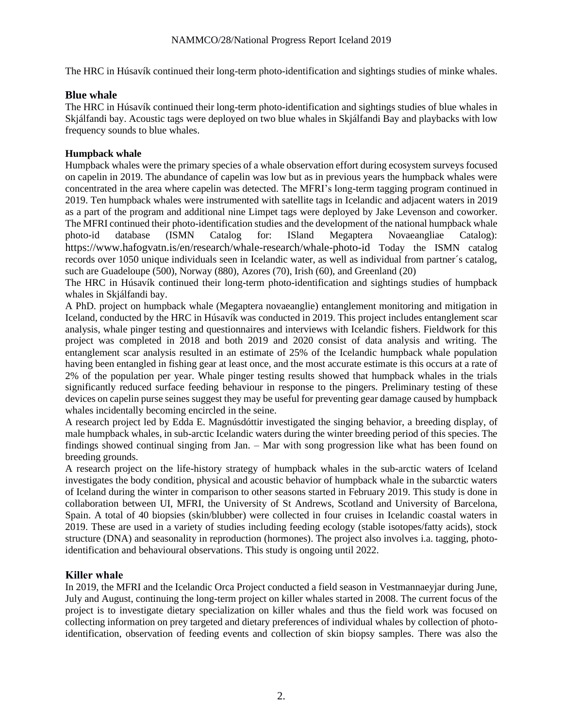The HRC in Húsavík continued their long-term photo-identification and sightings studies of minke whales.

### **Blue whale**

The HRC in Húsavík continued their long-term photo-identification and sightings studies of blue whales in Skjálfandi bay. Acoustic tags were deployed on two blue whales in Skjálfandi Bay and playbacks with low frequency sounds to blue whales.

#### **Humpback whale**

Humpback whales were the primary species of a whale observation effort during ecosystem surveys focused on capelin in 2019. The abundance of capelin was low but as in previous years the humpback whales were concentrated in the area where capelin was detected. The MFRI's long-term tagging program continued in 2019. Ten humpback whales were instrumented with satellite tags in Icelandic and adjacent waters in 2019 as a part of the program and additional nine Limpet tags were deployed by Jake Levenson and coworker. The MFRI continued their photo-identification studies and the development of the national humpback whale photo-id database (ISMN Catalog for: ISland Megaptera Novaeangliae Catalog): <https://www.hafogvatn.is/en/research/whale-research/whale-photo-id> Today the ISMN catalog records over 1050 unique individuals seen in Icelandic water, as well as individual from partner´s catalog, such are Guadeloupe (500), Norway (880), Azores (70), Irish (60), and Greenland (20)

The HRC in Húsavík continued their long-term photo-identification and sightings studies of humpback whales in Skjálfandi bay.

A PhD. project on humpback whale (Megaptera novaeanglie) entanglement monitoring and mitigation in Iceland, conducted by the HRC in Húsavík was conducted in 2019. This project includes entanglement scar analysis, whale pinger testing and questionnaires and interviews with Icelandic fishers. Fieldwork for this project was completed in 2018 and both 2019 and 2020 consist of data analysis and writing. The entanglement scar analysis resulted in an estimate of 25% of the Icelandic humpback whale population having been entangled in fishing gear at least once, and the most accurate estimate is this occurs at a rate of 2% of the population per year. Whale pinger testing results showed that humpback whales in the trials significantly reduced surface feeding behaviour in response to the pingers. Preliminary testing of these devices on capelin purse seines suggest they may be useful for preventing gear damage caused by humpback whales incidentally becoming encircled in the seine.

A research project led by Edda E. Magnúsdóttir investigated the singing behavior, a breeding display, of male humpback whales, in sub-arctic Icelandic waters during the winter breeding period of this species. The findings showed continual singing from Jan. – Mar with song progression like what has been found on breeding grounds.

A research project on the life-history strategy of humpback whales in the sub-arctic waters of Iceland investigates the body condition, physical and acoustic behavior of humpback whale in the subarctic waters of Iceland during the winter in comparison to other seasons started in February 2019. This study is done in collaboration between UI, MFRI, the University of St Andrews, Scotland and University of Barcelona, Spain. A total of 40 biopsies (skin/blubber) were collected in four cruises in Icelandic coastal waters in 2019. These are used in a variety of studies including feeding ecology (stable isotopes/fatty acids), stock structure (DNA) and seasonality in reproduction (hormones). The project also involves i.a. tagging, photoidentification and behavioural observations. This study is ongoing until 2022.

### **Killer whale**

In 2019, the MFRI and the Icelandic Orca Project conducted a field season in Vestmannaeyjar during June, July and August, continuing the long-term project on killer whales started in 2008. The current focus of the project is to investigate dietary specialization on killer whales and thus the field work was focused on collecting information on prey targeted and dietary preferences of individual whales by collection of photoidentification, observation of feeding events and collection of skin biopsy samples. There was also the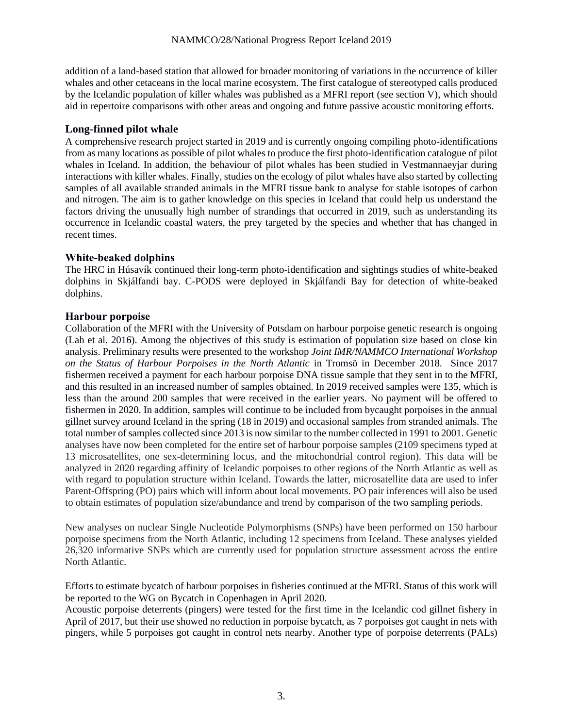addition of a land-based station that allowed for broader monitoring of variations in the occurrence of killer whales and other cetaceans in the local marine ecosystem. The first catalogue of stereotyped calls produced by the Icelandic population of killer whales was published as a MFRI report (see section V), which should aid in repertoire comparisons with other areas and ongoing and future passive acoustic monitoring efforts.

### **Long-finned pilot whale**

A comprehensive research project started in 2019 and is currently ongoing compiling photo-identifications from as many locations as possible of pilot whales to produce the first photo-identification catalogue of pilot whales in Iceland. In addition, the behaviour of pilot whales has been studied in Vestmannaeyjar during interactions with killer whales. Finally, studies on the ecology of pilot whales have also started by collecting samples of all available stranded animals in the MFRI tissue bank to analyse for stable isotopes of carbon and nitrogen. The aim is to gather knowledge on this species in Iceland that could help us understand the factors driving the unusually high number of strandings that occurred in 2019, such as understanding its occurrence in Icelandic coastal waters, the prey targeted by the species and whether that has changed in recent times.

### **White-beaked dolphins**

The HRC in Húsavík continued their long-term photo-identification and sightings studies of white-beaked dolphins in Skjálfandi bay. C-PODS were deployed in Skjálfandi Bay for detection of white-beaked dolphins.

### **Harbour porpoise**

Collaboration of the MFRI with the University of Potsdam on harbour porpoise genetic research is ongoing (Lah et al. 2016). Among the objectives of this study is estimation of population size based on close kin analysis. Preliminary results were presented to the workshop *Joint IMR/NAMMCO International Workshop on the Status of Harbour Porpoises in the North Atlantic* in Tromsö in December 2018. Since 2017 fishermen received a payment for each harbour porpoise DNA tissue sample that they sent in to the MFRI, and this resulted in an increased number of samples obtained. In 2019 received samples were 135, which is less than the around 200 samples that were received in the earlier years. No payment will be offered to fishermen in 2020. In addition, samples will continue to be included from bycaught porpoises in the annual gillnet survey around Iceland in the spring (18 in 2019) and occasional samples from stranded animals. The total number of samples collected since 2013 is now similar to the number collected in 1991 to 2001. Genetic analyses have now been completed for the entire set of harbour porpoise samples (2109 specimens typed at 13 microsatellites, one sex-determining locus, and the mitochondrial control region). This data will be analyzed in 2020 regarding affinity of Icelandic porpoises to other regions of the North Atlantic as well as with regard to population structure within Iceland. Towards the latter, microsatellite data are used to infer Parent-Offspring (PO) pairs which will inform about local movements. PO pair inferences will also be used to obtain estimates of population size/abundance and trend by comparison of the two sampling periods.

New analyses on nuclear Single Nucleotide Polymorphisms (SNPs) have been performed on 150 harbour porpoise specimens from the North Atlantic, including 12 specimens from Iceland. These analyses yielded 26,320 informative SNPs which are currently used for population structure assessment across the entire North Atlantic.

Efforts to estimate bycatch of harbour porpoises in fisheries continued at the MFRI. Status of this work will be reported to the WG on Bycatch in Copenhagen in April 2020.

Acoustic porpoise deterrents (pingers) were tested for the first time in the Icelandic cod gillnet fishery in April of 2017, but their use showed no reduction in porpoise bycatch, as 7 porpoises got caught in nets with pingers, while 5 porpoises got caught in control nets nearby. Another type of porpoise deterrents (PALs)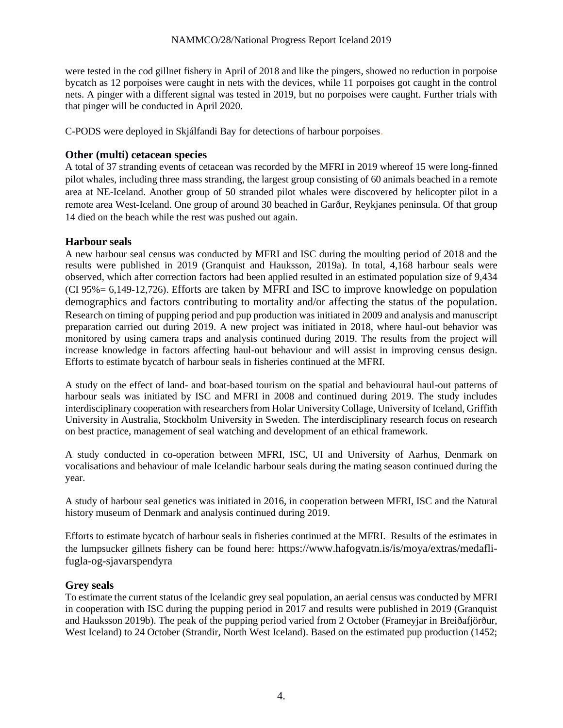were tested in the cod gillnet fishery in April of 2018 and like the pingers, showed no reduction in porpoise bycatch as 12 porpoises were caught in nets with the devices, while 11 porpoises got caught in the control nets. A pinger with a different signal was tested in 2019, but no porpoises were caught. Further trials with that pinger will be conducted in April 2020.

C-PODS were deployed in Skjálfandi Bay for detections of harbour porpoises.

### **Other (multi) cetacean species**

A total of 37 stranding events of cetacean was recorded by the MFRI in 2019 whereof 15 were long-finned pilot whales, including three mass stranding, the largest group consisting of 60 animals beached in a remote area at NE-Iceland. Another group of 50 stranded pilot whales were discovered by helicopter pilot in a remote area West-Iceland. One group of around 30 beached in Garður, Reykjanes peninsula. Of that group 14 died on the beach while the rest was pushed out again.

### **Harbour seals**

A new harbour seal census was conducted by MFRI and ISC during the moulting period of 2018 and the results were published in 2019 (Granquist and Hauksson, 2019a). In total, 4,168 harbour seals were observed, which after correction factors had been applied resulted in an estimated population size of 9,434 (CI 95%= 6,149-12,726). Efforts are taken by MFRI and ISC to improve knowledge on population demographics and factors contributing to mortality and/or affecting the status of the population. Research on timing of pupping period and pup production was initiated in 2009 and analysis and manuscript preparation carried out during 2019. A new project was initiated in 2018, where haul-out behavior was monitored by using camera traps and analysis continued during 2019. The results from the project will increase knowledge in factors affecting haul-out behaviour and will assist in improving census design. Efforts to estimate bycatch of harbour seals in fisheries continued at the MFRI.

A study on the effect of land- and boat-based tourism on the spatial and behavioural haul-out patterns of harbour seals was initiated by ISC and MFRI in 2008 and continued during 2019. The study includes interdisciplinary cooperation with researchers from Holar University Collage, University of Iceland, Griffith University in Australia, Stockholm University in Sweden. The interdisciplinary research focus on research on best practice, management of seal watching and development of an ethical framework.

A study conducted in co-operation between MFRI, ISC, UI and University of Aarhus, Denmark on vocalisations and behaviour of male Icelandic harbour seals during the mating season continued during the year.

A study of harbour seal genetics was initiated in 2016, in cooperation between MFRI, ISC and the Natural history museum of Denmark and analysis continued during 2019.

Efforts to estimate bycatch of harbour seals in fisheries continued at the MFRI. Results of the estimates in the lumpsucker gillnets fishery can be found here: [https://www.hafogvatn.is/is/moya/extras/medafli](https://www.hafogvatn.is/is/moya/extras/medafli-fugla-og-sjavarspendyra)[fugla-og-sjavarspendyra](https://www.hafogvatn.is/is/moya/extras/medafli-fugla-og-sjavarspendyra)

### **Grey seals**

To estimate the current status of the Icelandic grey seal population, an aerial census was conducted by MFRI in cooperation with ISC during the pupping period in 2017 and results were published in 2019 (Granquist and Hauksson 2019b). The peak of the pupping period varied from 2 October (Frameyjar in Breiðafjörður, West Iceland) to 24 October (Strandir, North West Iceland). Based on the estimated pup production (1452;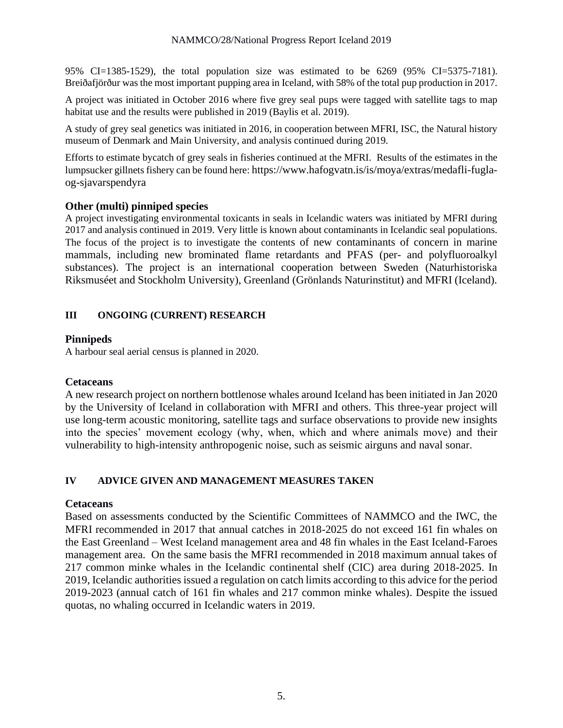95% CI=1385-1529), the total population size was estimated to be 6269 (95% CI=5375-7181). Breiðafjörður was the most important pupping area in Iceland, with 58% of the total pup production in 2017.

A project was initiated in October 2016 where five grey seal pups were tagged with satellite tags to map habitat use and the results were published in 2019 (Baylis et al. 2019).

A study of grey seal genetics was initiated in 2016, in cooperation between MFRI, ISC, the Natural history museum of Denmark and Main University, and analysis continued during 2019.

Efforts to estimate bycatch of grey seals in fisheries continued at the MFRI. Results of the estimates in the lumpsucker gillnets fishery can be found here: [https://www.hafogvatn.is/is/moya/extras/medafli-fugla](https://www.hafogvatn.is/is/moya/extras/medafli-fugla-og-sjavarspendyra)[og-sjavarspendyra](https://www.hafogvatn.is/is/moya/extras/medafli-fugla-og-sjavarspendyra)

### **Other (multi) pinniped species**

A project investigating environmental toxicants in seals in Icelandic waters was initiated by MFRI during 2017 and analysis continued in 2019. Very little is known about contaminants in Icelandic seal populations. The focus of the project is to investigate the contents of new contaminants of concern in marine mammals, including new brominated flame retardants and PFAS (per- and polyfluoroalkyl substances). The project is an international cooperation between Sweden (Naturhistoriska Riksmuséet and Stockholm University), Greenland (Grönlands Naturinstitut) and MFRI (Iceland).

### **III ONGOING (CURRENT) RESEARCH**

### **Pinnipeds**

A harbour seal aerial census is planned in 2020.

### **Cetaceans**

A new research project on northern bottlenose whales around Iceland has been initiated in Jan 2020 by the University of Iceland in collaboration with MFRI and others. This three-year project will use long-term acoustic monitoring, satellite tags and surface observations to provide new insights into the species' movement ecology (why, when, which and where animals move) and their vulnerability to high-intensity anthropogenic noise, such as seismic airguns and naval sonar.

# **IV ADVICE GIVEN AND MANAGEMENT MEASURES TAKEN**

### **Cetaceans**

Based on assessments conducted by the Scientific Committees of NAMMCO and the IWC, the MFRI recommended in 2017 that annual catches in 2018-2025 do not exceed 161 fin whales on the East Greenland – West Iceland management area and 48 fin whales in the East Iceland-Faroes management area. On the same basis the MFRI recommended in 2018 maximum annual takes of 217 common minke whales in the Icelandic continental shelf (CIC) area during 2018-2025. In 2019, Icelandic authorities issued a regulation on catch limits according to this advice for the period 2019-2023 (annual catch of 161 fin whales and 217 common minke whales). Despite the issued quotas, no whaling occurred in Icelandic waters in 2019.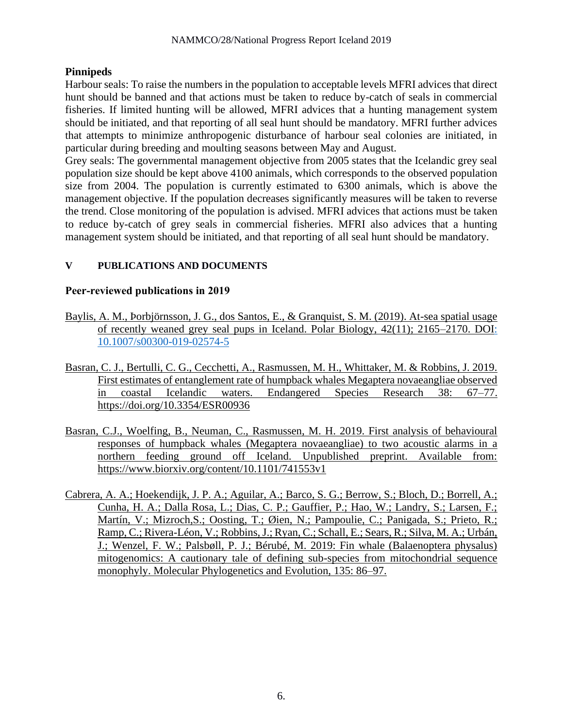# **Pinnipeds**

Harbour seals: To raise the numbers in the population to acceptable levels MFRI advices that direct hunt should be banned and that actions must be taken to reduce by-catch of seals in commercial fisheries. If limited hunting will be allowed, MFRI advices that a hunting management system should be initiated, and that reporting of all seal hunt should be mandatory. MFRI further advices that attempts to minimize anthropogenic disturbance of harbour seal colonies are initiated, in particular during breeding and moulting seasons between May and August.

Grey seals: The governmental management objective from 2005 states that the Icelandic grey seal population size should be kept above 4100 animals, which corresponds to the observed population size from 2004. The population is currently estimated to 6300 animals, which is above the management objective. If the population decreases significantly measures will be taken to reverse the trend. Close monitoring of the population is advised. MFRI advices that actions must be taken to reduce by-catch of grey seals in commercial fisheries. MFRI also advices that a hunting management system should be initiated, and that reporting of all seal hunt should be mandatory.

# **V PUBLICATIONS AND DOCUMENTS**

# **Peer-reviewed publications in 2019**

- Baylis, A. M., Þorbjörnsson, J. G., dos Santos, E., & Granquist, S. M. (2019). At-sea spatial usage of recently weaned grey seal pups in Iceland. Polar Biology, 42(11); 2165–2170. DOI: [10.1007/s00300-019-02574-5](https://www.researchgate.net/deref/http%3A%2F%2Fdx.doi.org%2F10.1007%2Fs00300-019-02574-5?_sg%5B0%5D=eN87Vje5CPp5L4IIOuED5ivbP6wq_gcx7EuwKWdTNVV7pEUmQVWBosCjAR6nJkdx9LLXQArMOyzpK03tfjcHKtVm5A.npTVcyi8H22jz9GNToUE51n4jRZaHg0laB8w06CIeSC8sMQqY4v8A78fkQS0RWDxjgeVtY8HH0KPSZCmf9Hqyw)
- Basran, C. J., Bertulli, C. G., Cecchetti, A., Rasmussen, M. H., Whittaker, M. & Robbins, J. 2019. First estimates of entanglement rate of humpback whales Megaptera novaeangliae observed in coastal Icelandic waters. Endangered Species Research 38: 67–77. <https://doi.org/10.3354/ESR00936>
- Basran, C.J., Woelfing, B., Neuman, C., Rasmussen, M. H. 2019. First analysis of behavioural responses of humpback whales (Megaptera novaeangliae) to two acoustic alarms in a northern feeding ground off Iceland. Unpublished preprint. Available from: <https://www.biorxiv.org/content/10.1101/741553v1>
- Cabrera, A. A.; Hoekendijk, J. P. A.; Aguilar, A.; Barco, S. G.; Berrow, S.; Bloch, D.; Borrell, A.; Cunha, H. A.; Dalla Rosa, L.; Dias, C. P.; Gauffier, P.; Hao, W.; Landry, S.; Larsen, F.; Martín, V.; Mizroch,S.; Oosting, T.; Øien, N.; Pampoulie, C.; Panigada, S.; Prieto, R.; Ramp, C.; Rivera-Léon, V.; Robbins, J.; Ryan, C.; Schall, E.; Sears, R.; Silva, M. A.; Urbán, J.; Wenzel, F. W.; Palsbøll, P. J.; Bérubé, M. 2019: Fin whale (Balaenoptera physalus) mitogenomics: A cautionary tale of defining sub-species from mitochondrial sequence monophyly. Molecular Phylogenetics and Evolution, 135: 86–97.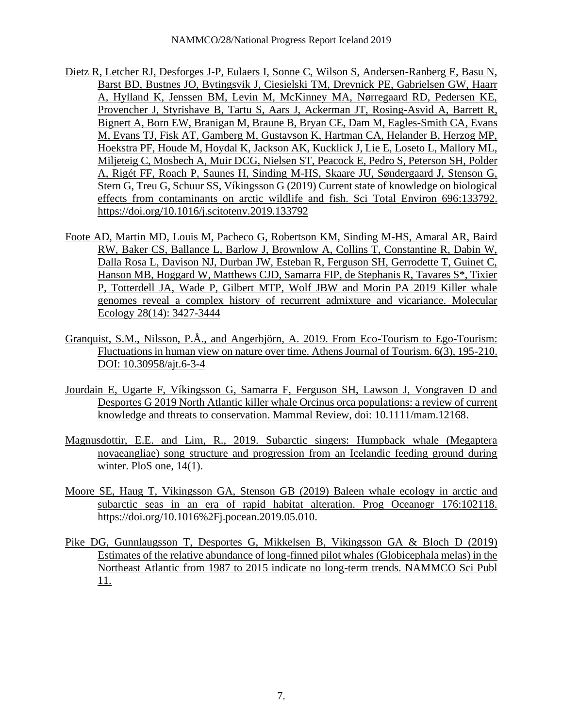- Dietz R, Letcher RJ, Desforges J-P, Eulaers I, Sonne C, Wilson S, Andersen-Ranberg E, Basu N, Barst BD, Bustnes JO, Bytingsvik J, Ciesielski TM, Drevnick PE, Gabrielsen GW, Haarr A, Hylland K, Jenssen BM, Levin M, McKinney MA, Nørregaard RD, Pedersen KE, Provencher J, Styrishave B, Tartu S, Aars J, Ackerman JT, Rosing-Asvid A, Barrett R, Bignert A, Born EW, Branigan M, Braune B, Bryan CE, Dam M, Eagles-Smith CA, Evans M, Evans TJ, Fisk AT, Gamberg M, Gustavson K, Hartman CA, Helander B, Herzog MP, Hoekstra PF, Houde M, Hoydal K, Jackson AK, Kucklick J, Lie E, Loseto L, Mallory ML, Miljeteig C, Mosbech A, Muir DCG, Nielsen ST, Peacock E, Pedro S, Peterson SH, Polder A, Rigét FF, Roach P, Saunes H, Sinding M-HS, Skaare JU, Søndergaard J, Stenson G, Stern G, Treu G, Schuur SS, Víkingsson G (2019) Current state of knowledge on biological effects from contaminants on arctic wildlife and fish. Sci Total Environ 696:133792. <https://doi.org/10.1016/j.scitotenv.2019.133792>
- Foote AD, Martin MD, Louis M, Pacheco G, Robertson KM, Sinding M-HS, Amaral AR, Baird RW, Baker CS, Ballance L, Barlow J, Brownlow A, Collins T, Constantine R, Dabin W, Dalla Rosa L, Davison NJ, Durban JW, Esteban R, Ferguson SH, Gerrodette T, Guinet C, Hanson MB, Hoggard W, Matthews CJD, Samarra FIP, de Stephanis R, Tavares S\*, Tixier P, Totterdell JA, Wade P, Gilbert MTP, Wolf JBW and Morin PA 2019 Killer whale genomes reveal a complex history of recurrent admixture and vicariance. Molecular Ecology 28(14): 3427-3444
- Granquist, S.M., Nilsson, P.Å., and Angerbjörn, A. 2019. From Eco-Tourism to Ego-Tourism: Fluctuations in human view on nature over time. Athens Journal of Tourism. 6(3), 195-210. DOI: [10.30958/ajt.6-3-4](https://www.researchgate.net/deref/http%3A%2F%2Fdx.doi.org%2F10.30958%2Fajt.6-3-4?_sg%5B0%5D=mrqCYI8D9Dq4ugWDsLViLEs7qAkfHPn9MV76iycAePqUTLBUWo9g7GvW6T9IA9zkZInh3CbPfETmCwbGP2-SVSLTkg.4SJ9TEmzjz1kc1Wj-2KUK9LPN-XaVUZR6WjxUq_L1jnwHwM9F9We0eHBdVj8pyNKx1TOTxCpRpUU4dnEmk-ZWA)
- Jourdain E, Ugarte F, Víkingsson G, Samarra F, Ferguson SH, Lawson J, Vongraven D and Desportes G 2019 North Atlantic killer whale Orcinus orca populations: a review of current knowledge and threats to conservation. Mammal Review, doi: 10.1111/mam.12168.
- Magnusdottir, E.E. and Lim, R., 2019. Subarctic singers: Humpback whale (Megaptera novaeangliae) song structure and progression from an Icelandic feeding ground during winter. PloS one, 14(1).
- Moore SE, Haug T, Víkingsson GA, Stenson GB (2019) Baleen whale ecology in arctic and subarctic seas in an era of rapid habitat alteration. Prog Oceanogr 176:102118. [https://doi.org/10.1016%2Fj.pocean.2019.05.010.](https://doi.org/10.1016%2Fj.pocean.2019.05.010)
- Pike DG, Gunnlaugsson T, Desportes G, Mikkelsen B, Vikingsson GA & Bloch D (2019) Estimates of the relative abundance of long-finned pilot whales (Globicephala melas) in the Northeast Atlantic from 1987 to 2015 indicate no long-term trends. NAMMCO Sci Publ 11.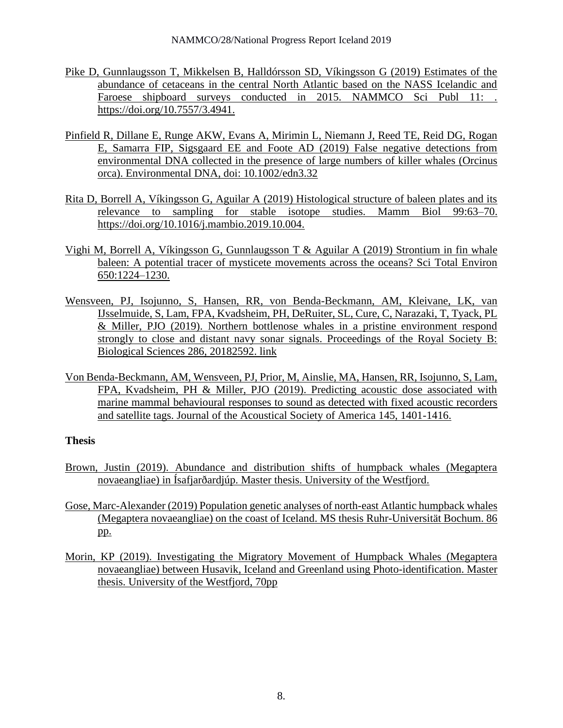- Pike D, Gunnlaugsson T, Mikkelsen B, Halldórsson SD, Víkingsson G (2019) Estimates of the abundance of cetaceans in the central North Atlantic based on the NASS Icelandic and Faroese shipboard surveys conducted in 2015. NAMMCO Sci Publ 11: . [https://doi.org/10.7557/3.4941.](https://doi.org/10.7557/3.4941)
- Pinfield R, Dillane E, Runge AKW, Evans A, Mirimin L, Niemann J, Reed TE, Reid DG, Rogan E, Samarra FIP, Sigsgaard EE and Foote AD (2019) False negative detections from environmental DNA collected in the presence of large numbers of killer whales (Orcinus orca). Environmental DNA, doi: 10.1002/edn3.32
- Rita D, Borrell A, Víkingsson G, Aguilar A (2019) Histological structure of baleen plates and its relevance to sampling for stable isotope studies. Mamm Biol 99:63–70. [https://doi.org/10.1016/j.mambio.2019.10.004.](https://doi.org/10.1016/j.mambio.2019.10.004)
- Vighi M, Borrell A, Víkingsson G, Gunnlaugsson T & Aguilar A (2019) Strontium in fin whale baleen: A potential tracer of mysticete movements across the oceans? Sci Total Environ 650:1224–1230.
- Wensveen, PJ, Isojunno, S, Hansen, RR, von Benda-Beckmann, AM, Kleivane, LK, van IJsselmuide, S, Lam, FPA, Kvadsheim, PH, DeRuiter, SL, Cure, C, Narazaki, T, Tyack, PL & Miller, PJO (2019). Northern bottlenose whales in a pristine environment respond strongly to close and distant navy sonar signals. Proceedings of the Royal Society B: Biological Sciences 286, 20182592. link
- Von Benda-Beckmann, AM, Wensveen, PJ, Prior, M, Ainslie, MA, Hansen, RR, Isojunno, S, Lam, FPA, Kvadsheim, PH & Miller, PJO (2019). Predicting acoustic dose associated with marine mammal behavioural responses to sound as detected with fixed acoustic recorders and satellite tags. Journal of the Acoustical Society of America 145, 1401-1416.

# **Thesis**

- Brown, Justin (2019). Abundance and distribution shifts of humpback whales (Megaptera novaeangliae) in Ísafjarðardjúp. Master thesis. University of the Westfjord.
- Gose, Marc-Alexander (2019) Population genetic analyses of north-east Atlantic humpback whales (Megaptera novaeangliae) on the coast of Iceland. MS thesis Ruhr-Universität Bochum. 86 pp.
- Morin, KP (2019). Investigating the Migratory Movement of Humpback Whales (Megaptera novaeangliae) between Husavik, Iceland and Greenland using Photo-identification. Master thesis. University of the Westfjord, 70pp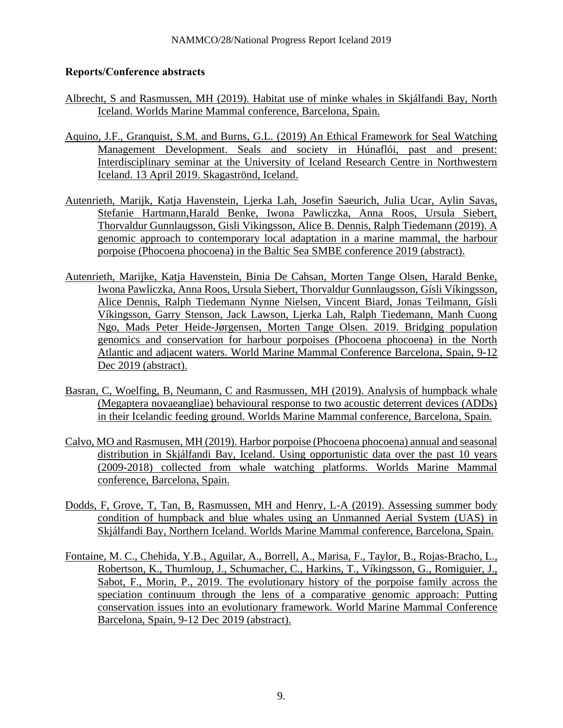# **Reports/Conference abstracts**

- Albrecht, S and Rasmussen, MH (2019). Habitat use of minke whales in Skjálfandi Bay, North Iceland. Worlds Marine Mammal conference, Barcelona, Spain.
- Aquino, J.F., Granquist, S.M. and Burns, G.L. (2019) An Ethical Framework for Seal Watching Management Development. Seals and society in Húnaflói, past and present: Interdisciplinary seminar at the University of Iceland Research Centre in Northwestern Iceland. 13 April 2019. Skagaströnd, Iceland.
- Autenrieth, Marijk, Katja Havenstein, Ljerka Lah, Josefin Saeurich, Julia Ucar, Aylin Savas, Stefanie Hartmann,Harald Benke, Iwona Pawliczka, Anna Roos, Ursula Siebert, Thorvaldur Gunnlaugsson, Gisli Vikingsson, Alice B. Dennis, Ralph Tiedemann (2019). A genomic approach to contemporary local adaptation in a marine mammal, the harbour porpoise (Phocoena phocoena) in the Baltic Sea SMBE conference 2019 (abstract).
- Autenrieth, Marijke, Katja Havenstein, Binia De Cahsan, Morten Tange Olsen, Harald Benke, Iwona Pawliczka, Anna Roos, Ursula Siebert, Thorvaldur Gunnlaugsson, Gísli Víkingsson, Alice Dennis, Ralph Tiedemann Nynne Nielsen, Vincent Biard, Jonas Teilmann, Gísli Víkingsson, Garry Stenson, Jack Lawson, Ljerka Lah, Ralph Tiedemann, Manh Cuong Ngo, Mads Peter Heide-Jørgensen, Morten Tange Olsen. 2019. Bridging population genomics and conservation for harbour porpoises (Phocoena phocoena) in the North Atlantic and adjacent waters. World Marine Mammal Conference Barcelona, Spain, 9-12 Dec 2019 (abstract).
- Basran, C, Woelfing, B, Neumann, C and Rasmussen, MH (2019). Analysis of humpback whale (Megaptera novaeangliae) behavioural response to two acoustic deterrent devices (ADDs) in their Icelandic feeding ground. Worlds Marine Mammal conference, Barcelona, Spain.
- Calvo, MO and Rasmusen, MH (2019). Harbor porpoise (Phocoena phocoena) annual and seasonal distribution in Skjálfandi Bay, Iceland. Using opportunistic data over the past 10 years (2009-2018) collected from whale watching platforms. Worlds Marine Mammal conference, Barcelona, Spain.
- Dodds, F, Grove, T, Tan, B, Rasmussen, MH and Henry, L-A (2019). Assessing summer body condition of humpback and blue whales using an Unmanned Aerial System (UAS) in Skjálfandi Bay, Northern Iceland. Worlds Marine Mammal conference, Barcelona, Spain.
- Fontaine, M. C., Chehida, Y.B., Aguilar, A., Borrell, A., Marisa, F., Taylor, B., Rojas-Bracho, L., Robertson, K., Thumloup, J., Schumacher, C., Harkins, T., Víkingsson, G., Romiguier, J., Sabot, F., Morin, P., 2019. The evolutionary history of the porpoise family across the speciation continuum through the lens of a comparative genomic approach: Putting conservation issues into an evolutionary framework. World Marine Mammal Conference Barcelona, Spain, 9-12 Dec 2019 (abstract).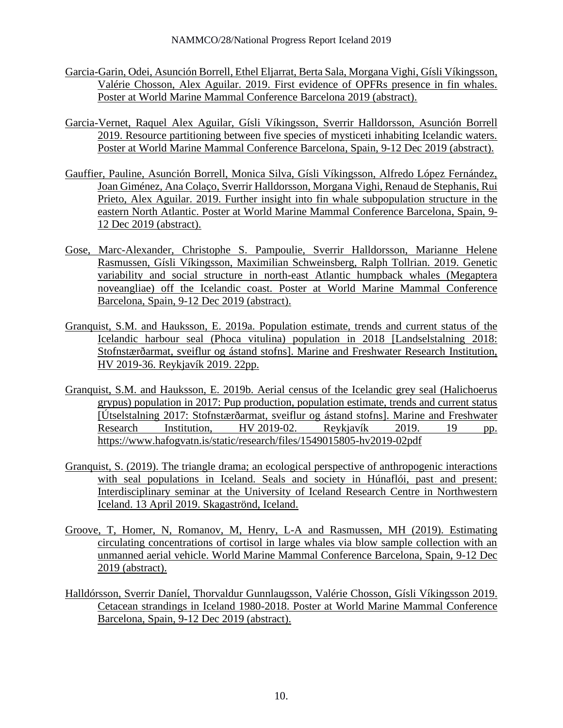- Garcia-Garin, Odei, Asunción Borrell, Ethel Eljarrat, Berta Sala, Morgana Vighi, Gísli Víkingsson, Valérie Chosson, Alex Aguilar. 2019. First evidence of OPFRs presence in fin whales. Poster at World Marine Mammal Conference Barcelona 2019 (abstract).
- Garcia-Vernet, Raquel Alex Aguilar, Gísli Víkingsson, Sverrir Halldorsson, Asunción Borrell 2019. Resource partitioning between five species of mysticeti inhabiting Icelandic waters. Poster at World Marine Mammal Conference Barcelona, Spain, 9-12 Dec 2019 (abstract).
- Gauffier, Pauline, Asunción Borrell, Monica Silva, Gísli Víkingsson, Alfredo López Fernández, Joan Giménez, Ana Colaço, Sverrir Halldorsson, Morgana Vighi, Renaud de Stephanis, Rui Prieto, Alex Aguilar. 2019. Further insight into fin whale subpopulation structure in the eastern North Atlantic. Poster at World Marine Mammal Conference Barcelona, Spain, 9- 12 Dec 2019 (abstract).
- Gose, Marc-Alexander, Christophe S. Pampoulie, Sverrir Halldorsson, Marianne Helene Rasmussen, Gísli Víkingsson, Maximilian Schweinsberg, Ralph Tollrian. 2019. Genetic variability and social structure in north-east Atlantic humpback whales (Megaptera noveangliae) off the Icelandic coast. Poster at World Marine Mammal Conference Barcelona, Spain, 9-12 Dec 2019 (abstract).
- Granquist, S.M. and Hauksson, E. 2019a. Population estimate, trends and current status of the Icelandic harbour seal (Phoca vitulina) population in 2018 [Landselstalning 2018: Stofnstærðarmat, sveiflur og ástand stofns]. Marine and Freshwater Research Institution, HV 2019-36. Reykjavík 2019. 22pp.
- Granquist, S.M. and Hauksson, E. 2019b. Aerial census of the Icelandic grey seal (Halichoerus grypus) population in 2017: Pup production, population estimate, trends and current status [Útselstalning 2017: Stofnstærðarmat, sveiflur og ástand stofns]. Marine and Freshwater Research Institution, HV 2019-02. Reykjavík 2019. 19 pp. <https://www.hafogvatn.is/static/research/files/1549015805-hv2019-02pdf>
- Granquist, S. (2019). The triangle drama; an ecological perspective of anthropogenic interactions with seal populations in Iceland. Seals and society in Húnaflói, past and present: Interdisciplinary seminar at the University of Iceland Research Centre in Northwestern Iceland. 13 April 2019. Skagaströnd, Iceland.
- Groove, T, Homer, N, Romanov, M, Henry, L-A and Rasmussen, MH (2019). Estimating circulating concentrations of cortisol in large whales via blow sample collection with an unmanned aerial vehicle. World Marine Mammal Conference Barcelona, Spain, 9-12 Dec 2019 (abstract).
- Halldórsson, Sverrir Daníel, Thorvaldur Gunnlaugsson, Valérie Chosson, Gísli Víkingsson 2019. Cetacean strandings in Iceland 1980-2018. Poster at World Marine Mammal Conference Barcelona, Spain, 9-12 Dec 2019 (abstract).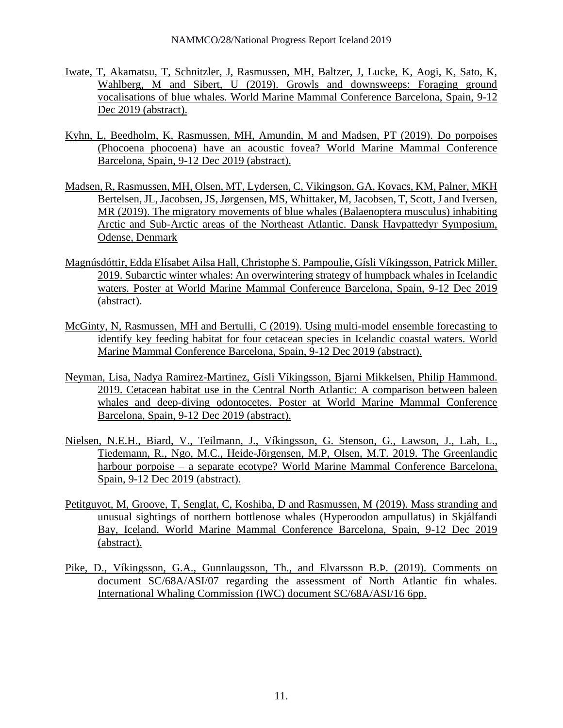- Iwate, T, Akamatsu, T, Schnitzler, J, Rasmussen, MH, Baltzer, J, Lucke, K, Aogi, K, Sato, K, Wahlberg, M and Sibert, U (2019). Growls and downsweeps: Foraging ground vocalisations of blue whales. World Marine Mammal Conference Barcelona, Spain, 9-12 Dec 2019 (abstract).
- Kyhn, L, Beedholm, K, Rasmussen, MH, Amundin, M and Madsen, PT (2019). Do porpoises (Phocoena phocoena) have an acoustic fovea? World Marine Mammal Conference Barcelona, Spain, 9-12 Dec 2019 (abstract).
- Madsen, R, Rasmussen, MH, Olsen, MT, Lydersen, C, Vikingson, GA, Kovacs, KM, Palner, MKH Bertelsen, JL, Jacobsen, JS, Jørgensen, MS, Whittaker, M, Jacobsen, T, Scott, J and Iversen, MR (2019). The migratory movements of blue whales (Balaenoptera musculus) inhabiting Arctic and Sub-Arctic areas of the Northeast Atlantic. Dansk Havpattedyr Symposium, Odense, Denmark
- Magnúsdóttir, Edda Elísabet Ailsa Hall, Christophe S. Pampoulie, Gísli Víkingsson, Patrick Miller. 2019. Subarctic winter whales: An overwintering strategy of humpback whales in Icelandic waters. Poster at World Marine Mammal Conference Barcelona, Spain, 9-12 Dec 2019 (abstract).
- McGinty, N, Rasmussen, MH and Bertulli, C (2019). Using multi-model ensemble forecasting to identify key feeding habitat for four cetacean species in Icelandic coastal waters. World Marine Mammal Conference Barcelona, Spain, 9-12 Dec 2019 (abstract).
- Neyman, Lisa, Nadya Ramirez-Martinez, Gísli Víkingsson, Bjarni Mikkelsen, Philip Hammond. 2019. Cetacean habitat use in the Central North Atlantic: A comparison between baleen whales and deep-diving odontocetes. Poster at World Marine Mammal Conference Barcelona, Spain, 9-12 Dec 2019 (abstract).
- Nielsen, N.E.H., Biard, V., Teilmann, J., Víkingsson, G. Stenson, G., Lawson, J., Lah, L., Tiedemann, R., Ngo, M.C., Heide-Jörgensen, M.P, Olsen, M.T. 2019. The Greenlandic harbour porpoise – a separate ecotype? World Marine Mammal Conference Barcelona, Spain, 9-12 Dec 2019 (abstract).
- Petitguyot, M, Groove, T, Senglat, C, Koshiba, D and Rasmussen, M (2019). Mass stranding and unusual sightings of northern bottlenose whales (Hyperoodon ampullatus) in Skjálfandi Bay, Iceland. World Marine Mammal Conference Barcelona, Spain, 9-12 Dec 2019 (abstract).
- Pike, D., Víkingsson, G.A., Gunnlaugsson, Th., and Elvarsson B.Þ. (2019). Comments on document SC/68A/ASI/07 regarding the assessment of North Atlantic fin whales. International Whaling Commission (IWC) document SC/68A/ASI/16 6pp.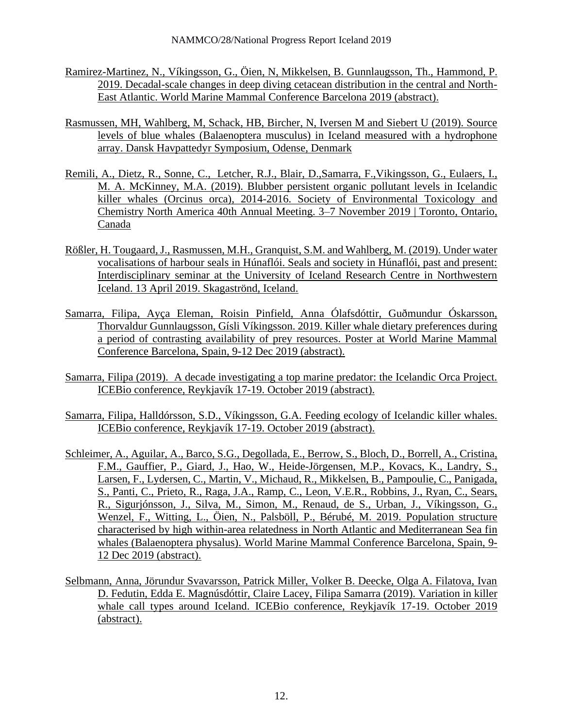- Ramirez-Martinez, N., Víkingsson, G., Öien, N, Mikkelsen, B. Gunnlaugsson, Th., Hammond, P. 2019. Decadal-scale changes in deep diving cetacean distribution in the central and North-East Atlantic. World Marine Mammal Conference Barcelona 2019 (abstract).
- Rasmussen, MH, Wahlberg, M, Schack, HB, Bircher, N, Iversen M and Siebert U (2019). Source levels of blue whales (Balaenoptera musculus) in Iceland measured with a hydrophone array. Dansk Havpattedyr Symposium, Odense, Denmark
- Remili, A., Dietz, R., Sonne, C., Letcher, R.J., Blair, D.,Samarra, F.,Vikingsson, G., Eulaers, I., M. A. McKinney, M.A. (2019). Blubber persistent organic pollutant levels in Icelandic killer whales (Orcinus orca), 2014-2016. Society of Environmental Toxicology and Chemistry North America 40th Annual Meeting. 3–7 November 2019 | Toronto, Ontario, Canada
- Rößler, H. Tougaard, J., Rasmussen, M.H., Granquist, S.M. and Wahlberg, M. (2019). Under water vocalisations of harbour seals in Húnaflói. Seals and society in Húnaflói, past and present: Interdisciplinary seminar at the University of Iceland Research Centre in Northwestern Iceland. 13 April 2019. Skagaströnd, Iceland.
- Samarra, Filipa, Ayça Eleman, Roisin Pinfield, Anna Ólafsdóttir, Guðmundur Óskarsson, Thorvaldur Gunnlaugsson, Gísli Víkingsson. 2019. Killer whale dietary preferences during a period of contrasting availability of prey resources. Poster at World Marine Mammal Conference Barcelona, Spain, 9-12 Dec 2019 (abstract).
- Samarra, Filipa (2019). A decade investigating a top marine predator: the Icelandic Orca Project. ICEBio conference, Reykjavík 17-19. October 2019 (abstract).
- Samarra, Filipa, Halldórsson, S.D., Víkingsson, G.A. Feeding ecology of Icelandic killer whales. ICEBio conference, Reykjavík 17-19. October 2019 (abstract).
- Schleimer, A., Aguilar, A., Barco, S.G., Degollada, E., Berrow, S., Bloch, D., Borrell, A., Cristina, F.M., Gauffier, P., Giard, J., Hao, W., Heide-Jörgensen, M.P., Kovacs, K., Landry, S., Larsen, F., Lydersen, C., Martin, V., Michaud, R., Mikkelsen, B., Pampoulie, C., Panigada, S., Panti, C., Prieto, R., Raga, J.A., Ramp, C., Leon, V.E.R., Robbins, J., Ryan, C., Sears, R., Sigurjónsson, J., Silva, M., Simon, M., Renaud, de S., Urban, J., Víkingsson, G., Wenzel, F., Witting, L., Öien, N., Palsböll, P., Bérubé, M. 2019. Population structure characterised by high within-area relatedness in North Atlantic and Mediterranean Sea fin whales (Balaenoptera physalus). World Marine Mammal Conference Barcelona, Spain, 9- 12 Dec 2019 (abstract).
- Selbmann, Anna, Jörundur Svavarsson, Patrick Miller, Volker B. Deecke, Olga A. Filatova, Ivan D. Fedutin, Edda E. Magnúsdóttir, Claire Lacey, Filipa Samarra (2019). [Variation in killer](http://biologia.is/files/agrip_2019/V33.html)  [whale call types around Iceland.](http://biologia.is/files/agrip_2019/V33.html) ICEBio conference, Reykjavík 17-19. October 2019 (abstract).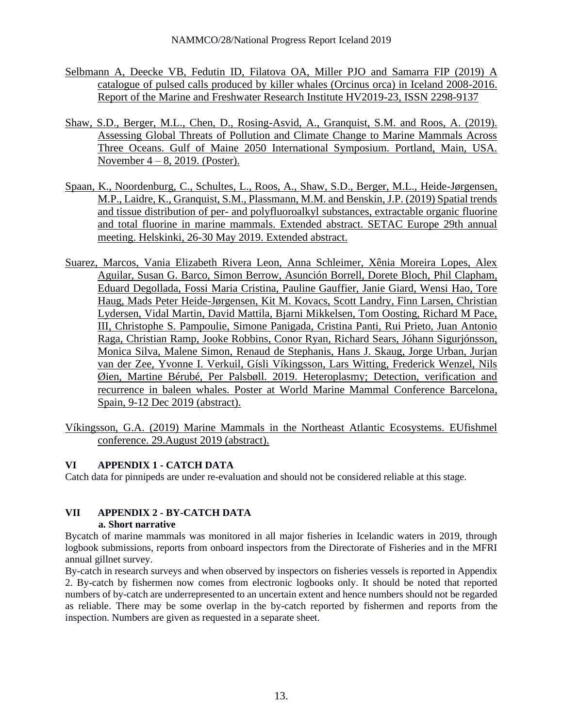- Selbmann A, Deecke VB, Fedutin ID, Filatova OA, Miller PJO and Samarra FIP (2019) A catalogue of pulsed calls produced by killer whales (Orcinus orca) in Iceland 2008-2016. Report of the Marine and Freshwater Research Institute HV2019-23, ISSN 2298-9137
- Shaw, S.D., Berger, M.L., Chen, D., Rosing-Asvid, A., Granquist, S.M. and Roos, A. (2019). Assessing Global Threats of Pollution and Climate Change to Marine Mammals Across Three Oceans. Gulf of Maine 2050 International Symposium. Portland, Main, USA. November 4 – 8, 2019. (Poster).
- Spaan, K., Noordenburg, C., Schultes, L., Roos, A., Shaw, S.D., Berger, M.L., Heide-Jørgensen, M.P., Laidre, K., Granquist, S.M., Plassmann, M.M. and Benskin, J.P. (2019) Spatial trends and tissue distribution of per- and polyfluoroalkyl substances, extractable organic fluorine and total fluorine in marine mammals. Extended abstract. SETAC Europe 29th annual meeting. Helskinki, 26-30 May 2019. Extended abstract.
- Suarez, Marcos, Vania Elizabeth Rivera Leon, Anna Schleimer, Xênia Moreira Lopes, Alex Aguilar, Susan G. Barco, Simon Berrow, Asunción Borrell, Dorete Bloch, Phil Clapham, Eduard Degollada, Fossi Maria Cristina, Pauline Gauffier, Janie Giard, Wensi Hao, Tore Haug, Mads Peter Heide-Jørgensen, Kit M. Kovacs, Scott Landry, Finn Larsen, Christian Lydersen, Vidal Martin, David Mattila, Bjarni Mikkelsen, Tom Oosting, Richard M Pace, III, Christophe S. Pampoulie, Simone Panigada, Cristina Panti, Rui Prieto, Juan Antonio Raga, Christian Ramp, Jooke Robbins, Conor Ryan, Richard Sears, Jóhann Sigurjónsson, Monica Silva, Malene Simon, Renaud de Stephanis, Hans J. Skaug, Jorge Urban, Jurjan van der Zee, Yvonne I. Verkuil, Gísli Víkingsson, Lars Witting, Frederick Wenzel, Nils Øien, Martine Bérubé, Per Palsbøll. 2019. Heteroplasmy; Detection, verification and recurrence in baleen whales. Poster at World Marine Mammal Conference Barcelona, Spain, 9-12 Dec 2019 (abstract).
- Víkingsson, G.A. (2019) Marine Mammals in the Northeast Atlantic Ecosystems. EUfishmel conference. 29.August 2019 (abstract).

# **VI APPENDIX 1 - CATCH DATA**

Catch data for pinnipeds are under re-evaluation and should not be considered reliable at this stage.

#### **VII APPENDIX 2 - BY-CATCH DATA a. Short narrative**

Bycatch of marine mammals was monitored in all major fisheries in Icelandic waters in 2019, through logbook submissions, reports from onboard inspectors from the Directorate of Fisheries and in the MFRI annual gillnet survey.

By-catch in research surveys and when observed by inspectors on fisheries vessels is reported in Appendix 2. By-catch by fishermen now comes from electronic logbooks only. It should be noted that reported numbers of by-catch are underrepresented to an uncertain extent and hence numbers should not be regarded as reliable. There may be some overlap in the by-catch reported by fishermen and reports from the inspection. Numbers are given as requested in a separate sheet.